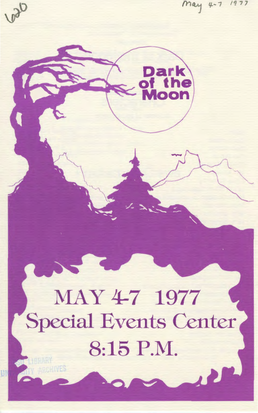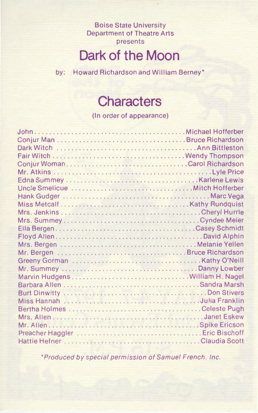Boise State University Department of Theatre Arts presents

## **Dark of the Moon**

by: Howard Richardson and William Berney\*

## **Characters**

(In order of appearance)

\*Produced by special permission of Samuel French, Inc.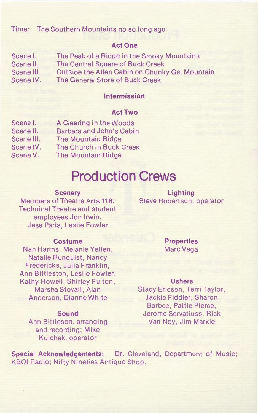## Time: The Southern Mountains no so long ago.

### **Act One**

Scene I. Scene II. Scene Ill. Scene IV. The Peak of a Ridge in the Smoky Mountains The Central Square of Buck Creek Outside the Allen Cabin on Chunky Gal Mountain The General Store of Buck Creek

### **Intermission**

## **Act Two**

| Scene I.   | A Clearing in the Woods   |
|------------|---------------------------|
| Scene II.  | Barbara and John's Cabin  |
| Scene III. | <b>The Mountain Ridge</b> |
| Scene IV.  | The Church in Buck Creek  |
| Scene V.   | The Mountain Ridge        |
|            |                           |

## **Production Crews**

#### **Scenery**

Members of Theatre Arts 118: Technical Theatre and student employees Jon Irwin, Jess Paris, Leslie Fowler

#### **Costume**

Nan Harms, Melanie Yellen, Natalie Runquist, Nancy Fredericks, Julia Franklin, Ann Bittleston, Leslie Fowler, Kathy Howell, Shirley Fulton, Marsha Stovall, Alan Anderson, Dianne White

#### **Sound**

Ann Bittleson, arranging and recording; Mike Kulchak, operator

**Lighting**  Steve Robertson, operator

> **Properties**  Marc Vega

#### **Ushers**

Stacy Ericson, Terri Taylor, Jackie Fiddler, Sharon Barbee, Pattie Pierce, Jerome Servatiuss, Rick Van Noy, Jim Markle

**Special Acknowledgements:** Dr. Cleveland, Department of Music; KBOI Radio; Nifty Nineties Antique Shop.